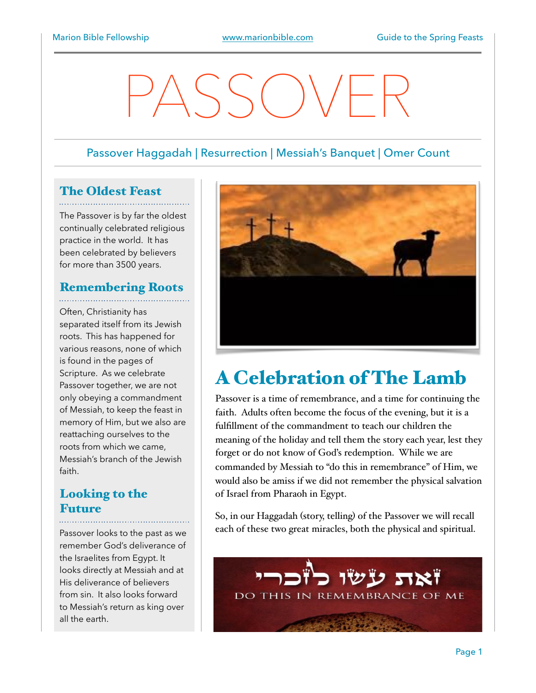# PASSOVER

#### Passover Haggadah | Resurrection | Messiah's Banquet | Omer Count

## The Oldest Feast

The Passover is by far the oldest continually celebrated religious practice in the world. It has been celebrated by believers for more than 3500 years.

#### Remembering Roots

Often, Christianity has separated itself from its Jewish roots. This has happened for various reasons, none of which is found in the pages of Scripture. As we celebrate Passover together, we are not only obeying a commandment of Messiah, to keep the feast in memory of Him, but we also are reattaching ourselves to the roots from which we came, Messiah's branch of the Jewish faith.

#### Looking to the **Future**

Passover looks to the past as we remember God's deliverance of the Israelites from Egypt. It looks directly at Messiah and at His deliverance of believers from sin. It also looks forward to Messiah's return as king over all the earth.



## A Celebration of The Lamb

Passover is a time of remembrance, and a time for continuing the faith. Adults often become the focus of the evening, but it is a fulfillment of the commandment to teach our children the meaning of the holiday and tell them the story each year, lest they forget or do not know of God's redemption. While we are commanded by Messiah to "do this in remembrance" of Him, we would also be amiss if we did not remember the physical salvation of Israel from Pharaoh in Egypt.

So, in our Haggadah (story, telling) of the Passover we will recall each of these two great miracles, both the physical and spiritual.

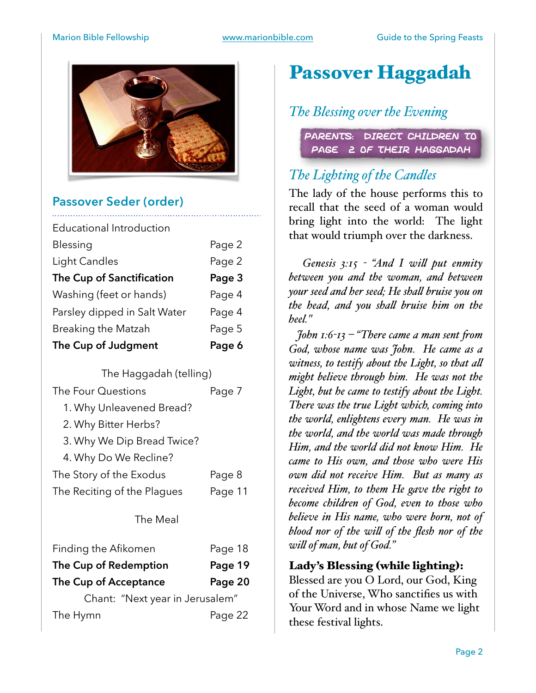

#### **Passover Seder (order)**

| Educational Introduction     |        |
|------------------------------|--------|
| Blessing                     | Page 2 |
| Light Candles                | Page 2 |
| The Cup of Sanctification    | Page 3 |
| Washing (feet or hands)      | Page 4 |
| Parsley dipped in Salt Water | Page 4 |
| <b>Breaking the Matzah</b>   | Page 5 |
| The Cup of Judgment          | Page 6 |

The Haggadah (telling)

| The Four Questions | Page 7 |
|--------------------|--------|

- 1. Why Unleavened Bread?
- 2. Why Bitter Herbs?
- 3. Why We Dip Bread Twice?
- 4. Why Do We Recline?
- The Story of the Exodus Page 8 The Reciting of the Plagues Page 11

#### The Meal

| Finding the Afikomen            | Page 18 |
|---------------------------------|---------|
| The Cup of Redemption           | Page 19 |
| The Cup of Acceptance           | Page 20 |
| Chant: "Next year in Jerusalem" |         |
| The Hymn                        | Page 22 |

# Passover Haggadah

#### *The Blessing over the Evening*

Parents: Direct Children to PAGE 2 OF THEIR HAGGADAH

### *The Lighting of the Candles*

The lady of the house performs this to recall that the seed of a woman would bring light into the world: The light that would triumph over the darkness.

 *Genesis 3:15 - "And I wil put enmity between you and the woman, and between your seed and her seed; He shal bruise you on the head, and you shal bruise him on the heel."*

 *John 1:6-13 – "There came a man sent fom God, whose name was John. He came as a witness, to testify about the Light, so that al might believe through him. He was not the Light, but he came to testify about the Light. There was the true Light which, coming into the world, enlightens every man. He was in the world, and the world was made through Him, and the world did not know Him. He came to His own, and those who were His own did not receive Him. But as many as received Him, to them He gave the right to become children of God, even to those who believe in His name, who were born, not of blood nor of the wil of the flesh nor of the wil of man, but of God."*

#### Lady's Blessing (while lighting):

Blessed are you O Lord, our God, King of the Universe, Who sanctifies us with Your Word and in whose Name we light these festival lights.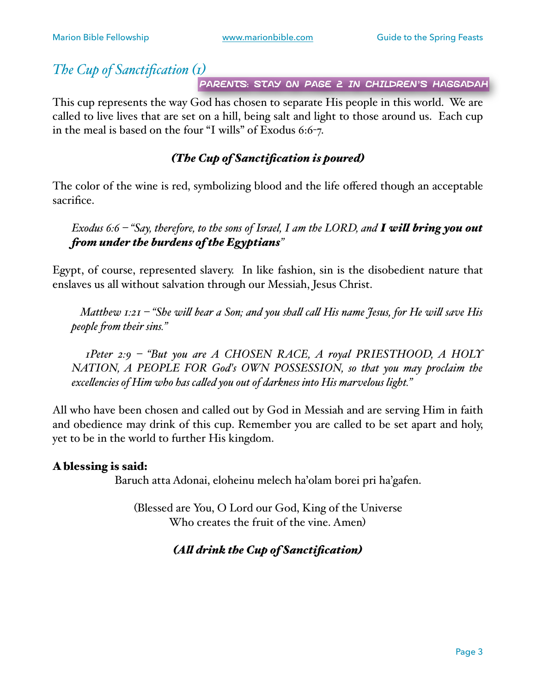#### *The Cup of Sanctification (1)*

Parents: Stay on page 2 in children's Haggadah

This cup represents the way God has chosen to separate His people in this world. We are called to live lives that are set on a hill, being salt and light to those around us. Each cup in the meal is based on the four "I wills" of Exodus 6:6-7.

#### *(The Cup of Sanctification is poured)*

The color of the wine is red, symbolizing blood and the life offered though an acceptable sacrifice.

*Exodus 6:6 – "Say, therefore, to the sons of Israel, I am the LORD, and I wil bring you out fom under the burdens of the Egyptians"*

Egypt, of course, represented slavery. In like fashion, sin is the disobedient nature that enslaves us all without salvation through our Messiah, Jesus Christ.

 *Matthew 1:21 – "She wil bear a Son; and you shal cal His name Jesus, for He wil save His people fom their sins."*

 *1Peter 2:9 – "But you are A CHOSEN RACE, A royal PRIESTHOOD, A HOLY NATION, A PEOPLE FOR God's OWN POSSESSION, so that you may proclaim the excelencies of Him who has caled you out of darkness into His marvelous light."*

All who have been chosen and called out by God in Messiah and are serving Him in faith and obedience may drink of this cup. Remember you are called to be set apart and holy, yet to be in the world to further His kingdom.

#### A blessing is said:

Baruch atta Adonai, eloheinu melech ha'olam borei pri ha'gafen.

(Blessed are You, O Lord our God, King of the Universe Who creates the fruit of the vine. Amen)

#### *(Al drink the Cup of Sanctification)*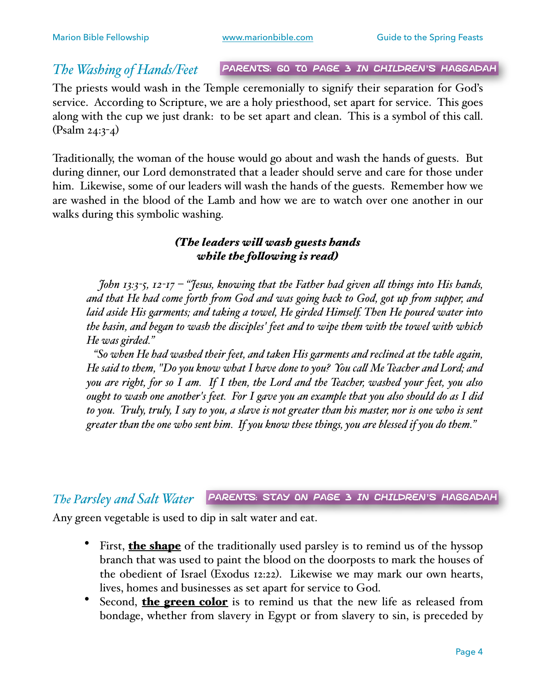#### *The Washing of Hands/Feet*

Parents: Go to page 3 in children's Haggadah

The priests would wash in the Temple ceremonially to signify their separation for God's service. According to Scripture, we are a holy priesthood, set apart for service. This goes along with the cup we just drank: to be set apart and clean. This is a symbol of this call. (Psalm 24:3-4)

Traditionally, the woman of the house would go about and wash the hands of guests. But during dinner, our Lord demonstrated that a leader should serve and care for those under him. Likewise, some of our leaders will wash the hands of the guests. Remember how we are washed in the blood of the Lamb and how we are to watch over one another in our walks during this symbolic washing.

#### *(The leaders wil wash guests hands while the folowing is read)*

 *John 13:3-5, 12-17 – "Jesus, knowing that the Father had given al things into His hands, and that He had come forth fom God and was going back to God, got up fom supper, and laid aside His garments; and taking a towel, He girded Himself. Then He poured water into the basin, and began to wash the disciples' feet and to wipe them with the towel with which He was girded."*

 *"So when He had washed their feet, and taken His garments and reclined at the table again, He said to them, "Do you know what I have done to you? You cal Me Teacher and Lord; and you are right, for so I am. If I then, the Lord and the Teacher, washed your feet, you also ought to wash one another's feet. For I gave you an example that you also should do as I did to you. Truly, truly, I say to you, a slave is not greater than his master, nor is one who is sent greater than the one who sent him. If you know these things, you are blessed if you do them."*

#### *The Parsley and Salt Water* Parents: Stay on page 3 in children's Haggadah

Any green vegetable is used to dip in salt water and eat.

- First, **the shape** of the traditionally used parsley is to remind us of the hyssop branch that was used to paint the blood on the doorposts to mark the houses of the obedient of Israel (Exodus 12:22). Likewise we may mark our own hearts, lives, homes and businesses as set apart for service to God.
- Second, the green color is to remind us that the new life as released from bondage, whether from slavery in Egypt or from slavery to sin, is preceded by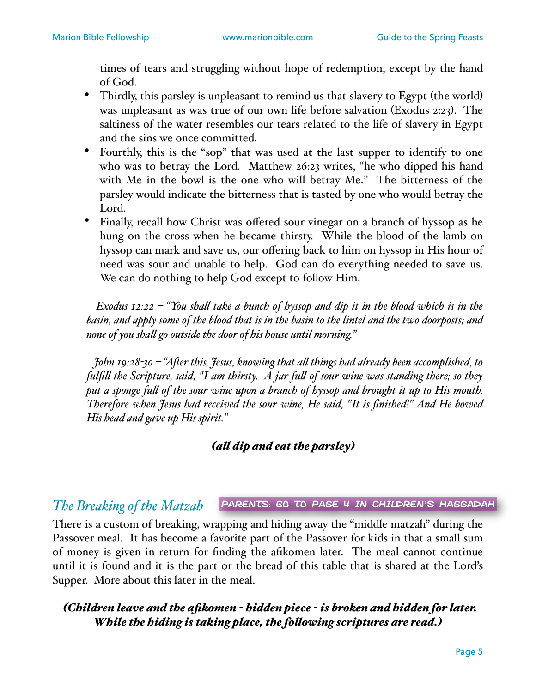times of tears and struggling without hope of redemption, except by the hand of God.

- Thirdly, this parsley is unpleasant to remind us that slavery to Egypt (the world) was unpleasant as was true of our own life before salvation (Exodus 2:23). The saltiness of the water resembles our tears related to the life of slavery in Egypt and the sins we once committed.
- Fourthly, this is the "sop" that was used at the last supper to identify to one who was to betray the Lord. Matthew 26:23 writes, "he who dipped his hand with Me in the bowl is the one who will betray Me." The bitterness of the parsley would indicate the bitterness that is tasted by one who would betray the Lord.
- Finally, recall how Christ was offered sour vinegar on a branch of hyssop as he hung on the cross when he became thirsty. While the blood of the lamb on hyssop can mark and save us, our offering back to him on hyssop in His hour of need was sour and unable to help. God can do everything needed to save us. We can do nothing to help God except to follow Him.

 *Exodus 12:22 – "You shal take a bunch of hyssop and dip it in the blood which is in the basin, and apply some of the blood that is in the basin to the lintel and the two doorposts; and none of you shal go outside the door of his house until morning."*

 *John 19:28-30 – "Afer this, Jesus, knowing that al things had already been accomplished, to fulfil the Scripture, said, "I am thirsty. A jar ful of sour wine was standing there; so they put a sponge ful of the sour wine upon a branch of hyssop and brought it up to His mouth. Therefore when Jesus had received the sour wine, He said, "It is finished!" And He bowed His head and gave up His spirit."*

#### *(al dip and eat the parsley)*

#### *The Breaking of the Matzah* Parents: Go to page 4 in children's Haggadah

There is a custom of breaking, wrapping and hiding away the "middle matzah" during the Passover meal. It has become a favorite part of the Passover for kids in that a small sum of money is given in return for finding the afikomen later. The meal cannot continue until it is found and it is the part or the bread of this table that is shared at the Lord's Supper. More about this later in the meal.

#### *(Children leave and the afikomen - hidden piece - is broken and hidden for later. While the hiding is taking place, the folowing scriptures are read.)*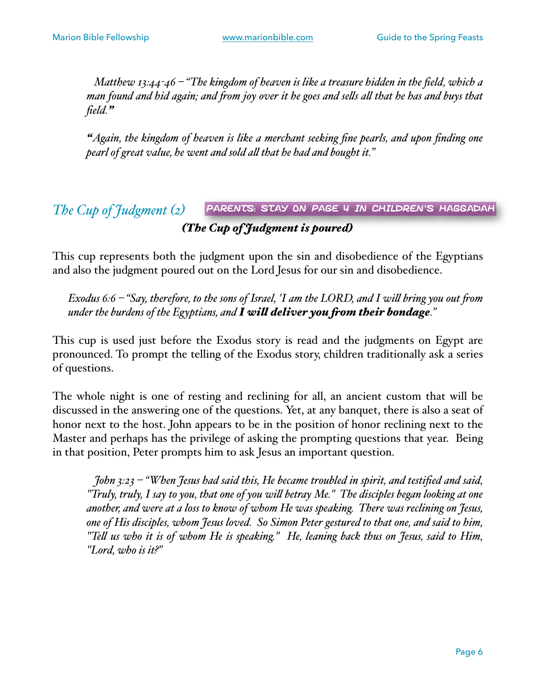*Matthew 13:44-46 – "The kingdom of heaven is like a treasure hidden in the field, which a man found and hid again; and fom joy over it he goes and sels al that he has and buys that field."*

*"Again, the kingdom of heaven is like a merchant seeking fine pearls, and upon finding one pearl of great value, he went and sold al that he had and bought it."*

#### *The Cup of Judgment (2) (The Cup of Judgment is poured)* Parents: Stay on page 4 in children's Haggadah

This cup represents both the judgment upon the sin and disobedience of the Egyptians and also the judgment poured out on the Lord Jesus for our sin and disobedience.

*Exodus 6:6 – "Say, therefore, to the sons of Israel, 'I am the LORD, and I wil bring you out fom under the burdens of the Egyptians, and I wil deliver you fom their bondage."*

This cup is used just before the Exodus story is read and the judgments on Egypt are pronounced. To prompt the telling of the Exodus story, children traditionally ask a series of questions.

The whole night is one of resting and reclining for all, an ancient custom that will be discussed in the answering one of the questions. Yet, at any banquet, there is also a seat of honor next to the host. John appears to be in the position of honor reclining next to the Master and perhaps has the privilege of asking the prompting questions that year. Being in that position, Peter prompts him to ask Jesus an important question.

 *John 3:23 – "When Jesus had said this, He became troubled in spirit, and testified and said, "Truly, truly, I say to you, that one of you wil betray Me." The disciples began looking at one another, and were at a loss to know of whom He was speaking. There was reclining on Jesus, one of His disciples, whom Jesus loved. So Simon Peter gestured to that one, and said to him, "Tel us who it is of whom He is speaking." He, leaning back thus on Jesus, said to Him, "Lord, who is it?"*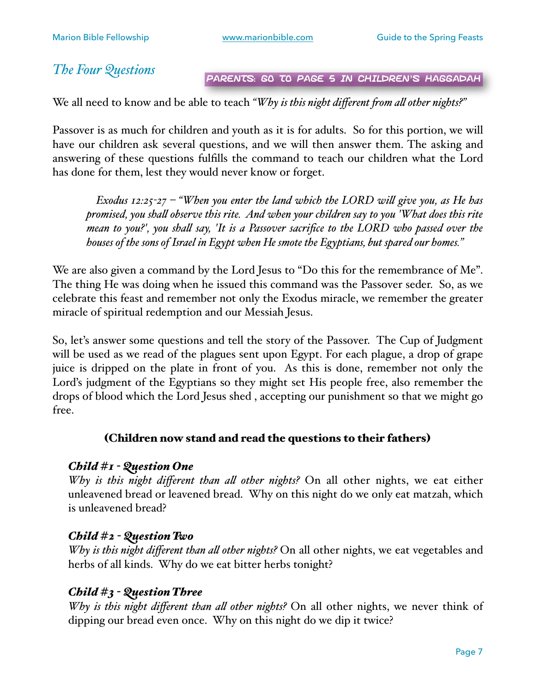*The Four Questions*

Parents: Go to page 5 in children's Haggadah

We all need to know and be able to teach *"Why is this night different fom al other nights?"*

Passover is as much for children and youth as it is for adults. So for this portion, we will have our children ask several questions, and we will then answer them. The asking and answering of these questions fulfills the command to teach our children what the Lord has done for them, lest they would never know or forget.

 *Exodus 12:25-27 – "When you enter the land which the LORD wil give you, as He has promised, you shal observe this rite. And when your children say to you 'What does this rite mean to you?', you shal say, 'It is a Passover sacrifice to the LORD who passed over the houses of the sons of Israel in Egypt when He smote the Egyptians, but spared our homes."*

We are also given a command by the Lord Jesus to "Do this for the remembrance of Me". The thing He was doing when he issued this command was the Passover seder. So, as we celebrate this feast and remember not only the Exodus miracle, we remember the greater miracle of spiritual redemption and our Messiah Jesus.

So, let's answer some questions and tell the story of the Passover. The Cup of Judgment will be used as we read of the plagues sent upon Egypt. For each plague, a drop of grape juice is dripped on the plate in front of you. As this is done, remember not only the Lord's judgment of the Egyptians so they might set His people free, also remember the drops of blood which the Lord Jesus shed , accepting our punishment so that we might go free.

#### (Children now stand and read the questions to their fathers)

#### *Child #1 - Question One*

*Why is this night different than al other nights?* On all other nights, we eat either unleavened bread or leavened bread. Why on this night do we only eat matzah, which is unleavened bread?

#### *Child #2 - Question Two*

*Why is this night different than al other nights?* On all other nights, we eat vegetables and herbs of all kinds. Why do we eat bitter herbs tonight?

#### *Child #3 - Question Three*

*Why is this night different than al other nights?* On all other nights, we never think of dipping our bread even once. Why on this night do we dip it twice?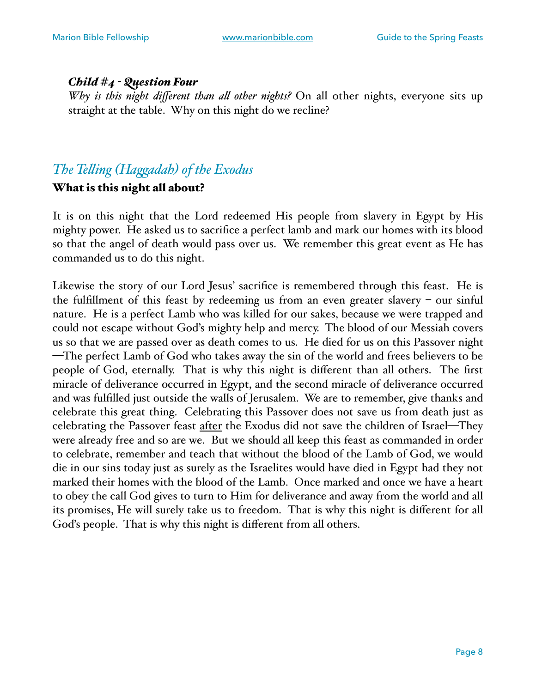#### *Child #4 - Question Four*

*Why is this night different than al other nights?* On all other nights, everyone sits up straight at the table. Why on this night do we recline?

#### *The Teling (Hagadah) of the Exodus*

#### What is this night all about?

It is on this night that the Lord redeemed His people from slavery in Egypt by His mighty power. He asked us to sacrifice a perfect lamb and mark our homes with its blood so that the angel of death would pass over us. We remember this great event as He has commanded us to do this night.

Likewise the story of our Lord Jesus' sacrifice is remembered through this feast. He is the fulfillment of this feast by redeeming us from an even greater slavery – our sinful nature. He is a perfect Lamb who was killed for our sakes, because we were trapped and could not escape without God's mighty help and mercy. The blood of our Messiah covers us so that we are passed over as death comes to us. He died for us on this Passover night —The perfect Lamb of God who takes away the sin of the world and frees believers to be people of God, eternally. That is why this night is different than all others. The first miracle of deliverance occurred in Egypt, and the second miracle of deliverance occurred and was fulfilled just outside the walls of Jerusalem. We are to remember, give thanks and celebrate this great thing. Celebrating this Passover does not save us from death just as celebrating the Passover feast after the Exodus did not save the children of Israel—They were already free and so are we. But we should all keep this feast as commanded in order to celebrate, remember and teach that without the blood of the Lamb of God, we would die in our sins today just as surely as the Israelites would have died in Egypt had they not marked their homes with the blood of the Lamb. Once marked and once we have a heart to obey the call God gives to turn to Him for deliverance and away from the world and all its promises, He will surely take us to freedom. That is why this night is different for all God's people. That is why this night is different from all others.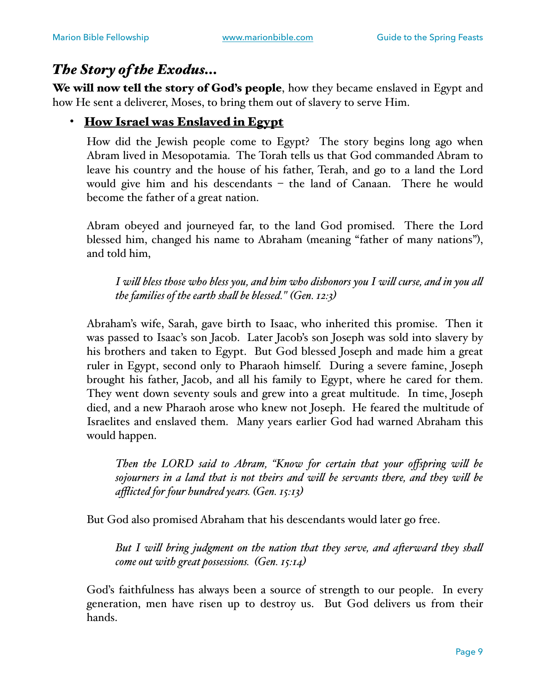#### *The Story of the Exodus…*

We will now tell the story of God's people, how they became enslaved in Egypt and how He sent a deliverer, Moses, to bring them out of slavery to serve Him.

#### • How Israel was Enslaved in Egypt

How did the Jewish people come to Egypt? The story begins long ago when Abram lived in Mesopotamia. The Torah tells us that God commanded Abram to leave his country and the house of his father, Terah, and go to a land the Lord would give him and his descendants – the land of Canaan. There he would become the father of a great nation.

Abram obeyed and journeyed far, to the land God promised. There the Lord blessed him, changed his name to Abraham (meaning "father of many nations"), and told him,

*I wil bless those who bless you, and him who dishonors you I wil curse, and in you al the families of the earth shal be blessed." (Gen. 12:3)*

Abraham's wife, Sarah, gave birth to Isaac, who inherited this promise. Then it was passed to Isaac's son Jacob. Later Jacob's son Joseph was sold into slavery by his brothers and taken to Egypt. But God blessed Joseph and made him a great ruler in Egypt, second only to Pharaoh himself. During a severe famine, Joseph brought his father, Jacob, and all his family to Egypt, where he cared for them. They went down seventy souls and grew into a great multitude. In time, Joseph died, and a new Pharaoh arose who knew not Joseph. He feared the multitude of Israelites and enslaved them. Many years earlier God had warned Abraham this would happen.

*Then the LORD said to Abram, "Know for certain that your offspring wil be sojourners in a land that is not theirs and wil be servants there, and they wil be afflicted for four hundred years. (Gen. 15:13)*

But God also promised Abraham that his descendants would later go free.

*But I wil bring judgment on the nation that they serve, and aferward they shal come out with great possessions. (Gen. 15:14)*

God's faithfulness has always been a source of strength to our people. In every generation, men have risen up to destroy us. But God delivers us from their hands.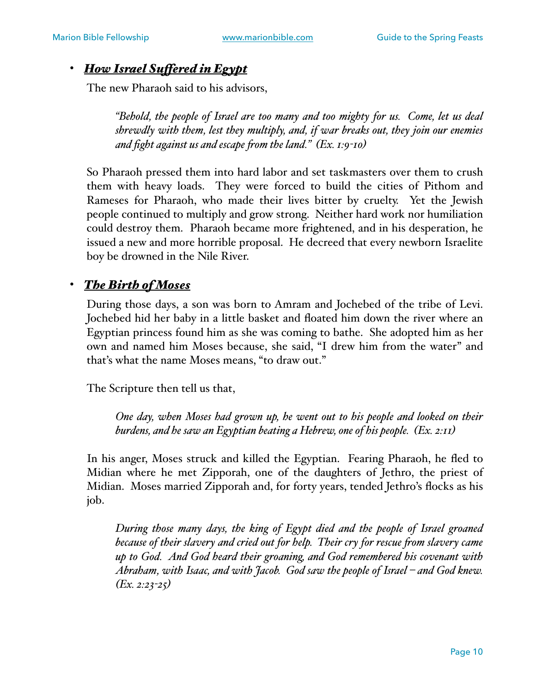#### • *How Israel Sufered in Egypt*

The new Pharaoh said to his advisors,

*"Behold, the people of Israel are too many and too mighty for us. Come, let us deal shrewdly with them, lest they multiply, and, if war breaks out, they join our enemies and fight against us and escape fom the land." (Ex. 1:9-10)*

So Pharaoh pressed them into hard labor and set taskmasters over them to crush them with heavy loads. They were forced to build the cities of Pithom and Rameses for Pharaoh, who made their lives bitter by cruelty. Yet the Jewish people continued to multiply and grow strong. Neither hard work nor humiliation could destroy them. Pharaoh became more frightened, and in his desperation, he issued a new and more horrible proposal. He decreed that every newborn Israelite boy be drowned in the Nile River.

#### • *The Birth of Moses*

During those days, a son was born to Amram and Jochebed of the tribe of Levi. Jochebed hid her baby in a little basket and floated him down the river where an Egyptian princess found him as she was coming to bathe. She adopted him as her own and named him Moses because, she said, "I drew him from the water" and that's what the name Moses means, "to draw out."

The Scripture then tell us that,

*One day, when Moses had grown up, he went out to his people and looked on their burdens, and he saw an Egyptian beating a Hebrew, one of his people. (Ex. 2:11)*

In his anger, Moses struck and killed the Egyptian. Fearing Pharaoh, he fled to Midian where he met Zipporah, one of the daughters of Jethro, the priest of Midian. Moses married Zipporah and, for forty years, tended Jethro's flocks as his job.

*During those many days, the king of Egypt died and the people of Israel groaned because of their slavery and cried out for help. Their cry for rescue from slavery came up to God. And God heard their groaning, and God remembered his covenant with Abraham, with Isaac, and with Jacob. God saw the people of Israel – and God knew. (Ex. 2:23-25)*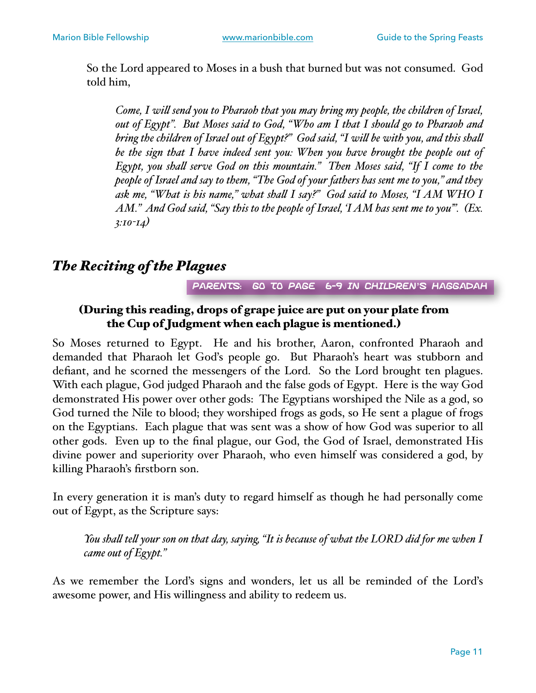So the Lord appeared to Moses in a bush that burned but was not consumed. God told him,

*Come, I wil send you to Pharaoh that you may bring my people, the children of Israel, out of Egypt". But Moses said to God, "Who am I that I should go to Pharaoh and bring the children of Israel out of Egypt?" God said, "I wil be with you, and this shal be the sign that I have indeed sent you: When you have brought the people out of Egypt, you shal serve God on this mountain." Then Moses said, "If I come to the people of Israel and say to them, "The God of your fathers has sent me to you," and they ask me, "What is his name," what shal I say?" God said to Moses, "I AM WHO I AM." And God said, "Say this to the people of Israel, 'I AM has sent me to you".* (*Ex. 3:10-14)*

#### *The Reciting of the Plagues*

Parents: Go to page 6-9 in children's Haggadah

#### (During this reading, drops of grape juice are put on your plate from the Cup of Judgment when each plague is mentioned.)

So Moses returned to Egypt. He and his brother, Aaron, confronted Pharaoh and demanded that Pharaoh let God's people go. But Pharaoh's heart was stubborn and defiant, and he scorned the messengers of the Lord. So the Lord brought ten plagues. With each plague, God judged Pharaoh and the false gods of Egypt. Here is the way God demonstrated His power over other gods: The Egyptians worshiped the Nile as a god, so God turned the Nile to blood; they worshiped frogs as gods, so He sent a plague of frogs on the Egyptians. Each plague that was sent was a show of how God was superior to all other gods. Even up to the final plague, our God, the God of Israel, demonstrated His divine power and superiority over Pharaoh, who even himself was considered a god, by killing Pharaoh's firstborn son.

In every generation it is man's duty to regard himself as though he had personally come out of Egypt, as the Scripture says:

*You shal tel your son on that day, saying, "It is because of what the LORD did for me when I came out of Egypt."*

As we remember the Lord's signs and wonders, let us all be reminded of the Lord's awesome power, and His willingness and ability to redeem us.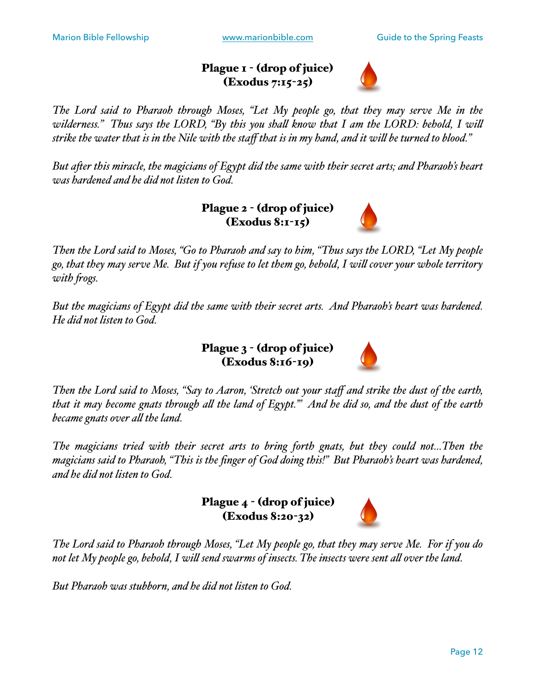#### Plague I - (drop of juice) (Exodus 7:15-25)



*The Lord said to Pharaoh through Moses, "Let My people go, that they may serve Me in the wilderness." Thus says the LORD, "By this you shal know that I am the LORD: behold, I wil strike the water that is in the Nile with the staff that is in my hand, and it wil be turned to blood."*

*But afer this miracle, the magicians of Egypt did the same with their secret arts; and Pharaoh's heart was hardened and he did not listen to God.* 

> Plague 2 - (drop of juice) (Exodus 8:1-15)



*Then the Lord said to Moses, "Go to Pharaoh and say to him, "Thus says the LORD, "Let My people go, that they may serve Me. But if you refuse to let them go, behold, I wil cover your whole territory with fogs.*

*But the magicians of Egypt did the same with their secret arts. And Pharaoh's heart was hardened. He did not listen to God.*

> Plague 3 - (drop of juice) (Exodus 8:16-19)



*Then the Lord said to Moses, "Say to Aaron, 'Stretch out your staff and strike the dust of the earth, that it may become gnats through al the land of Egypt.'" And he did so, and the dust of the earth became gnats over al the land.*

*The magicians tried with their secret arts to bring forth gnats, but they could not…Then the magicians said to Pharaoh, "This is the finger of God doing this!" But Pharaoh's heart was hardened, and he did not listen to God.* 

> Plague 4 - (drop of juice) (Exodus 8:20-32)



*The Lord said to Pharaoh through Moses, "Let My people go, that they may serve Me. For if you do not let My people go, behold, I wil send swarms of insects. The insects were sent al over the land.* 

*But Pharaoh was stubborn, and he did not listen to God.*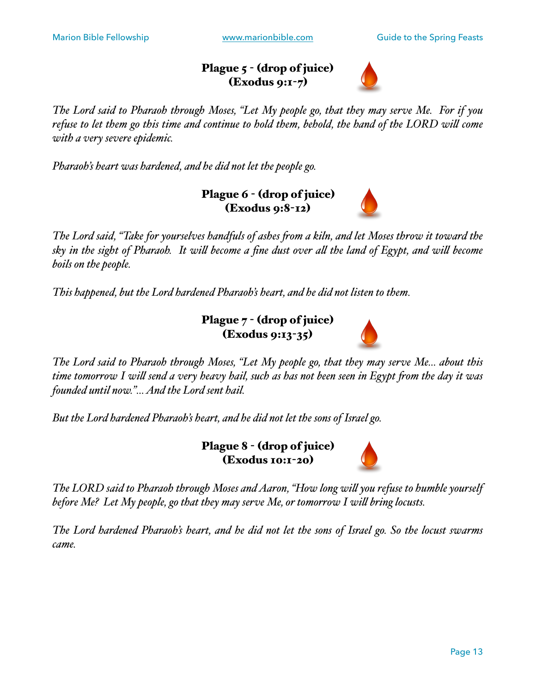#### Plague 5 - (drop of juice) (Exodus 9:1-7)



*The Lord said to Pharaoh through Moses, "Let My people go, that they may serve Me. For if you refuse to let them go this time and continue to hold them, behold, the hand of the LORD wil come with a very severe epidemic.* 

*Pharaoh's heart was hardened, and he did not let the people go.* 

Plague 6 - (drop of juice) (Exodus 9:8-12)

*The Lord said, "Take for yourselves handfuls of ashes fom a kiln, and let Moses throw it toward the sky in the sight of Pharaoh. It wil become a fine dust over al the land of Egypt, and wil become boils on the people.*

*This happened, but the Lord hardened Pharaoh's heart, and he did not listen to them.* 

Plague 7 - (drop of juice) (Exodus 9:13-35)



*The Lord said to Pharaoh through Moses, "Let My people go, that they may serve Me… about this time tomorrow I wil send a very heavy hail, such as has not been seen in Egypt fom the day it was founded until now."… And the Lord sent hail.*

*But the Lord hardened Pharaoh's heart, and he did not let the sons of Israel go.* 

Plague 8 - (drop of juice) (Exodus 10:1-20)



*The LORD said to Pharaoh through Moses and Aaron, "How long wil you refuse to humble yourself before Me? Let My people, go that they may serve Me, or tomorrow I wil bring locusts.*

*The Lord hardened Pharaoh's heart, and he did not let the sons of Israel go. So the locust swarms came.*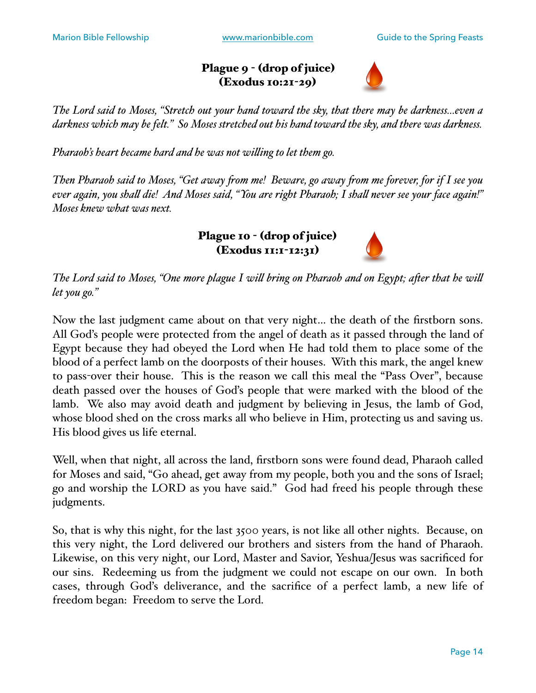#### Plague 9 - (drop of juice) (Exodus 10:21-29)



*The Lord said to Moses, "Stretch out your hand toward the sky, that there may be darkness…even a darkness which may be felt." So Moses stretched out his hand toward the sky, and there was darkness.* 

*Pharaoh's heart became hard and he was not wiling to let them go.* 

*Then Pharaoh said to Moses, "Get away fom me! Beware, go away fom me forever, for if I see you ever again, you shal die! And Moses said, "You are right Pharaoh; I shal never see your face again!" Moses knew what was next.*

> Plague 10 - (drop of juice) (Exodus 11:1-12:31)



*The Lord said to Moses, "One more plague I wil bring on Pharaoh and on Egypt; afer that he wil let you go."* 

Now the last judgment came about on that very night… the death of the firstborn sons. All God's people were protected from the angel of death as it passed through the land of Egypt because they had obeyed the Lord when He had told them to place some of the blood of a perfect lamb on the doorposts of their houses. With this mark, the angel knew to pass-over their house. This is the reason we call this meal the "Pass Over", because death passed over the houses of God's people that were marked with the blood of the lamb. We also may avoid death and judgment by believing in Jesus, the lamb of God, whose blood shed on the cross marks all who believe in Him, protecting us and saving us. His blood gives us life eternal.

Well, when that night, all across the land, firstborn sons were found dead, Pharaoh called for Moses and said, "Go ahead, get away from my people, both you and the sons of Israel; go and worship the LORD as you have said." God had freed his people through these judgments.

So, that is why this night, for the last 3500 years, is not like all other nights. Because, on this very night, the Lord delivered our brothers and sisters from the hand of Pharaoh. Likewise, on this very night, our Lord, Master and Savior, Yeshua/Jesus was sacrificed for our sins. Redeeming us from the judgment we could not escape on our own. In both cases, through God's deliverance, and the sacrifice of a perfect lamb, a new life of freedom began: Freedom to serve the Lord.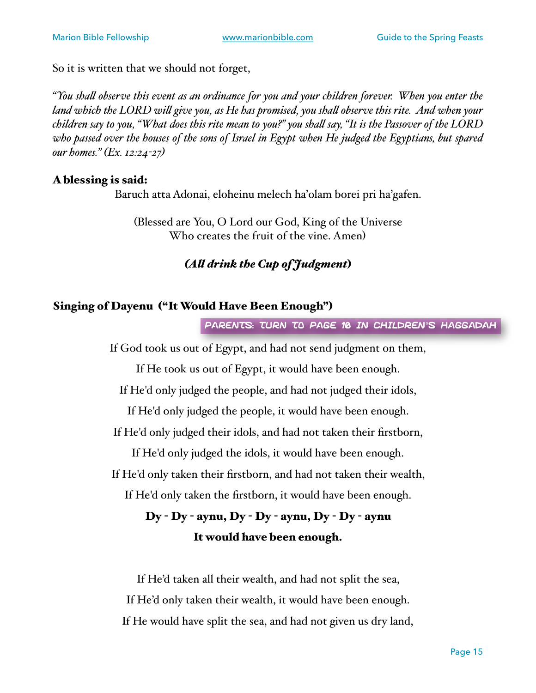So it is written that we should not forget,

*"You shal observe this event as an ordinance for you and your children forever. When you enter the land which the LORD wil give you, as He has promised, you shal observe this rite. And when your children say to you, "What does this rite mean to you?" you shal say, "It is the Passover of the LORD who passed over the houses of the sons of Israel in Egypt when He judged the Egyptians, but spared our homes." (Ex. 12:24-27)*

#### A blessing is said:

Baruch atta Adonai, eloheinu melech ha'olam borei pri ha'gafen.

(Blessed are You, O Lord our God, King of the Universe Who creates the fruit of the vine. Amen)

#### *(Al drink the Cup of Judgment*)

#### Singing of Dayenu ("It Would Have Been Enough")

Parents: Turn to page 10 in Children's Haggadah

If God took us out of Egypt, and had not send judgment on them,

If He took us out of Egypt, it would have been enough.

If He'd only judged the people, and had not judged their idols,

If He'd only judged the people, it would have been enough.

If He'd only judged their idols, and had not taken their firstborn,

If He'd only judged the idols, it would have been enough.

If He'd only taken their firstborn, and had not taken their wealth,

If He'd only taken the firstborn, it would have been enough.

#### Dy - Dy - aynu, Dy - Dy - aynu, Dy - Dy - aynu It would have been enough.

If He'd taken all their wealth, and had not split the sea, If He'd only taken their wealth, it would have been enough. If He would have split the sea, and had not given us dry land,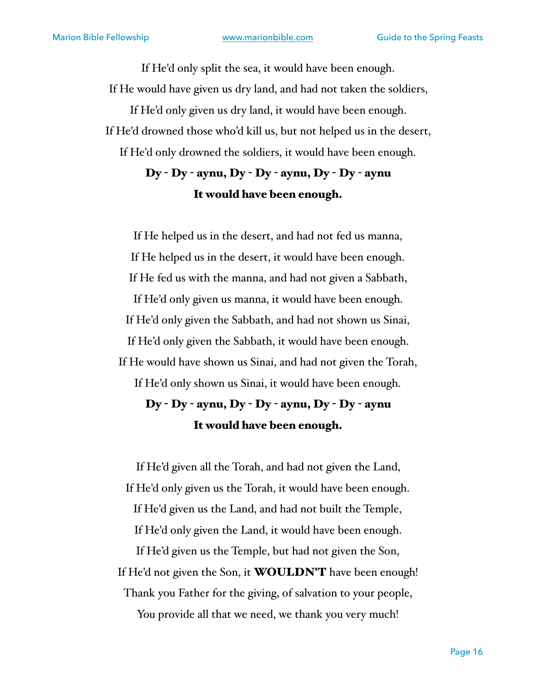If He'd only split the sea, it would have been enough. If He would have given us dry land, and had not taken the soldiers, If He'd only given us dry land, it would have been enough. If He'd drowned those who'd kill us, but not helped us in the desert, If He'd only drowned the soldiers, it would have been enough.

### Dy - Dy - aynu, Dy - Dy - aynu, Dy - Dy - aynu It would have been enough.

If He helped us in the desert, and had not fed us manna, If He helped us in the desert, it would have been enough. If He fed us with the manna, and had not given a Sabbath, If He'd only given us manna, it would have been enough. If He'd only given the Sabbath, and had not shown us Sinai, If He'd only given the Sabbath, it would have been enough. If He would have shown us Sinai, and had not given the Torah, If He'd only shown us Sinai, it would have been enough.

## Dy - Dy - aynu, Dy - Dy - aynu, Dy - Dy - aynu It would have been enough.

If He'd given all the Torah, and had not given the Land, If He'd only given us the Torah, it would have been enough. If He'd given us the Land, and had not built the Temple, If He'd only given the Land, it would have been enough.

If He'd given us the Temple, but had not given the Son, If He'd not given the Son, it **WOULDN'T** have been enough! Thank you Father for the giving, of salvation to your people,

You provide all that we need, we thank you very much!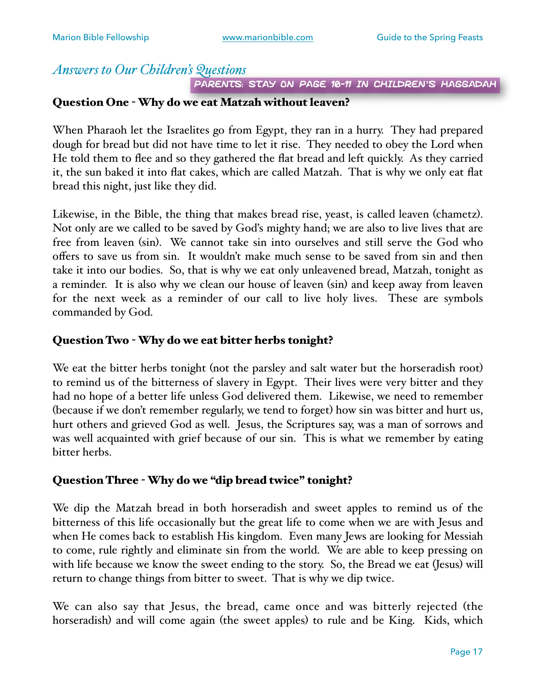#### *Answers to Our Children's Questions*

PARENTS: STAY ON PAGE 10-11 IN CHILDREN'S HAGGADAH

#### Question One - Why do we eat Matzah without leaven?

When Pharaoh let the Israelites go from Egypt, they ran in a hurry. They had prepared dough for bread but did not have time to let it rise. They needed to obey the Lord when He told them to flee and so they gathered the flat bread and left quickly. As they carried it, the sun baked it into flat cakes, which are called Matzah. That is why we only eat flat bread this night, just like they did.

Likewise, in the Bible, the thing that makes bread rise, yeast, is called leaven (chametz). Not only are we called to be saved by God's mighty hand; we are also to live lives that are free from leaven (sin). We cannot take sin into ourselves and still serve the God who offers to save us from sin. It wouldn't make much sense to be saved from sin and then take it into our bodies. So, that is why we eat only unleavened bread, Matzah, tonight as a reminder. It is also why we clean our house of leaven (sin) and keep away from leaven for the next week as a reminder of our call to live holy lives. These are symbols commanded by God.

#### Question Two - Why do we eat bitter herbs tonight?

We eat the bitter herbs tonight (not the parsley and salt water but the horseradish root) to remind us of the bitterness of slavery in Egypt. Their lives were very bitter and they had no hope of a better life unless God delivered them. Likewise, we need to remember (because if we don't remember regularly, we tend to forget) how sin was bitter and hurt us, hurt others and grieved God as well. Jesus, the Scriptures say, was a man of sorrows and was well acquainted with grief because of our sin. This is what we remember by eating bitter herbs.

#### Question Three - Why do we "dip bread twice" tonight?

We dip the Matzah bread in both horseradish and sweet apples to remind us of the bitterness of this life occasionally but the great life to come when we are with Jesus and when He comes back to establish His kingdom. Even many Jews are looking for Messiah to come, rule rightly and eliminate sin from the world. We are able to keep pressing on with life because we know the sweet ending to the story. So, the Bread we eat (Jesus) will return to change things from bitter to sweet. That is why we dip twice.

We can also say that Jesus, the bread, came once and was bitterly rejected (the horseradish) and will come again (the sweet apples) to rule and be King. Kids, which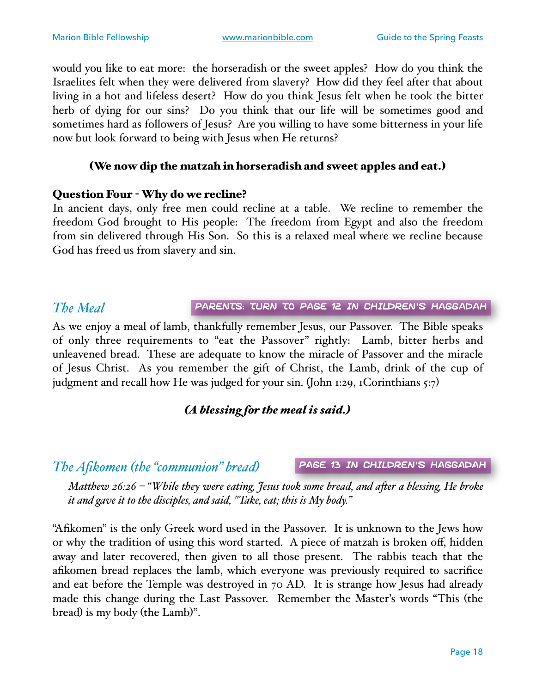would you like to eat more: the horseradish or the sweet apples? How do you think the Israelites felt when they were delivered from slavery? How did they feel after that about living in a hot and lifeless desert? How do you think Jesus felt when he took the bitter herb of dying for our sins? Do you think that our life will be sometimes good and sometimes hard as followers of Jesus? Are you willing to have some bitterness in your life now but look forward to being with Jesus when He returns?

#### (We now dip the matzah in horseradish and sweet apples and eat.)

#### Question Four - Why do we recline?

In ancient days, only free men could recline at a table. We recline to remember the freedom God brought to His people: The freedom from Egypt and also the freedom from sin delivered through His Son. So this is a relaxed meal where we recline because God has freed us from slavery and sin.

#### *The Meal*

Parents: Turn to page 12 in Children's Haggadah

As we enjoy a meal of lamb, thankfully remember Jesus, our Passover. The Bible speaks of only three requirements to "eat the Passover" rightly: Lamb, bitter herbs and unleavened bread. These are adequate to know the miracle of Passover and the miracle of Jesus Christ. As you remember the gift of Christ, the Lamb, drink of the cup of judgment and recall how He was judged for your sin. (John 1:29, 1Corinthians 5:7)

#### *(A blessing for the meal is said.)*

*The Afikomen (the "communion" bread)*

page 13 in Children's Haggadah

*Matthew 26:26 – "While they were eating, Jesus took some bread, and afer a blessing, He broke it and gave it to the disciples, and said, "Take, eat; this is My body."*

"Afikomen" is the only Greek word used in the Passover. It is unknown to the Jews how or why the tradition of using this word started. A piece of matzah is broken off, hidden away and later recovered, then given to all those present. The rabbis teach that the afikomen bread replaces the lamb, which everyone was previously required to sacrifice and eat before the Temple was destroyed in 70 AD. It is strange how Jesus had already made this change during the Last Passover. Remember the Master's words "This (the bread) is my body (the Lamb)".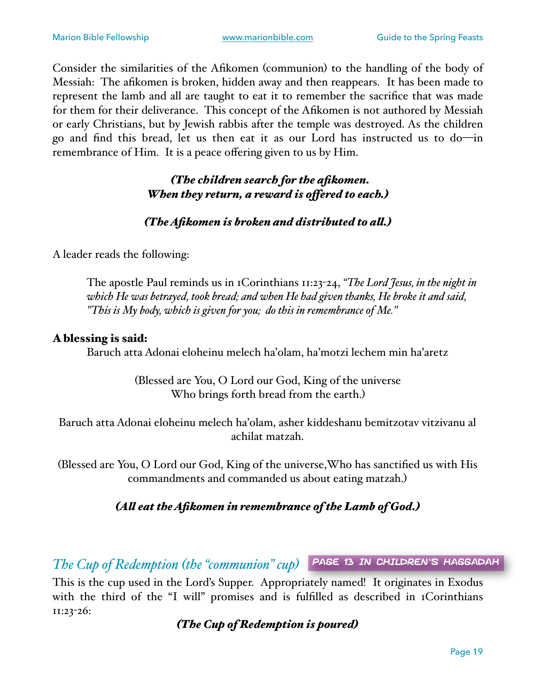Consider the similarities of the Afikomen (communion) to the handling of the body of Messiah: The afikomen is broken, hidden away and then reappears. It has been made to represent the lamb and all are taught to eat it to remember the sacrifice that was made for them for their deliverance. This concept of the Afikomen is not authored by Messiah or early Christians, but by Jewish rabbis after the temple was destroyed. As the children go and find this bread, let us then eat it as our Lord has instructed us to do—in remembrance of Him. It is a peace offering given to us by Him.

#### *(The children search for the afikomen. When they return, a reward is ofered to each.)*

#### *(The Afikomen is broken and distributed to al.)*

A leader reads the following:

The apostle Paul reminds us in 1Corinthians 11:23-24, *"The Lord Jesus, in the night in which He was betrayed, took bread; and when He had given thanks, He broke it and said, "This is My body, which is given for you; do this in remembrance of Me."*

#### A blessing is said:

Baruch atta Adonai eloheinu melech ha'olam, ha'motzi lechem min ha'aretz

(Blessed are You, O Lord our God, King of the universe Who brings forth bread from the earth.)

Baruch atta Adonai eloheinu melech ha'olam, asher kiddeshanu bemitzotav vitzivanu al achilat matzah.

(Blessed are You, O Lord our God, King of the universe,Who has sanctified us with His commandments and commanded us about eating matzah.)

#### *(Al eat the Afikomen in remembrance of the Lamb of God.)*

*The Cup of Redemption (the "communion" cup)* page 13 in Children's Haggadah

This is the cup used in the Lord's Supper. Appropriately named! It originates in Exodus with the third of the "I will" promises and is fulfilled as described in 1Corinthians 11:23-26:

*(The Cup of Redemption is poured)*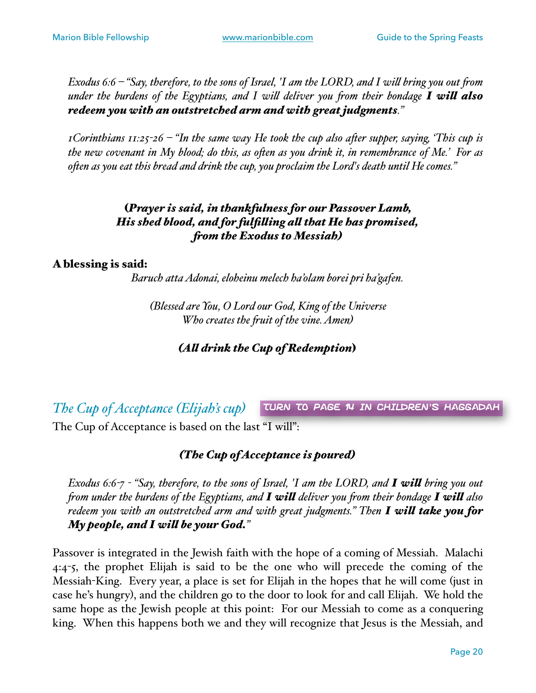*Exodus 6:6 – "Say, therefore, to the sons of Israel, 'I am the LORD, and I wil bring you out fom under the burdens of the Egyptians, and I wil deliver you fom their bondage I wil also redeem you with an outstretched arm and with great judgments."*

*1Corinthians 11:25-26 – "In the same way He took the cup also afer supper, saying, 'This cup is the new covenant in My blood; do this, as ofen as you drink it, in remembrance of Me.' For as ofen as you eat this bread and drink the cup, you proclaim the Lord's death until He comes."*

#### (*Prayer is said, in thankfulness for our Passover Lamb, His shed blood, and for fulfiling al that He has promised, fom the Exodus to Messiah)*

#### A blessing is said:

*Baruch atta Adonai, eloheinu melech ha'olam borei pri ha'gafen.*

*(Blessed are You, O Lord our God, King of the Universe Who creates the fuit of the vine. Amen)*

*(Al drink the Cup of Redemption*)

*The Cup of Acceptance (Elijah's cup)* The Cup of Acceptance is based on the last "I will": Turn to page 14 in Children's Haggadah

#### *(The Cup of Acceptance is poured)*

*Exodus 6:6-7 - "Say, therefore, to the sons of Israel, 'I am the LORD, and I wil bring you out fom under the burdens of the Egyptians, and I wil deliver you fom their bondage I wil also redeem you with an outstretched arm and with great judgments." Then I wil take you for My people, and I wil be your God."*

Passover is integrated in the Jewish faith with the hope of a coming of Messiah. Malachi 4:4-5, the prophet Elijah is said to be the one who will precede the coming of the Messiah-King. Every year, a place is set for Elijah in the hopes that he will come (just in case he's hungry), and the children go to the door to look for and call Elijah. We hold the same hope as the Jewish people at this point: For our Messiah to come as a conquering king. When this happens both we and they will recognize that Jesus is the Messiah, and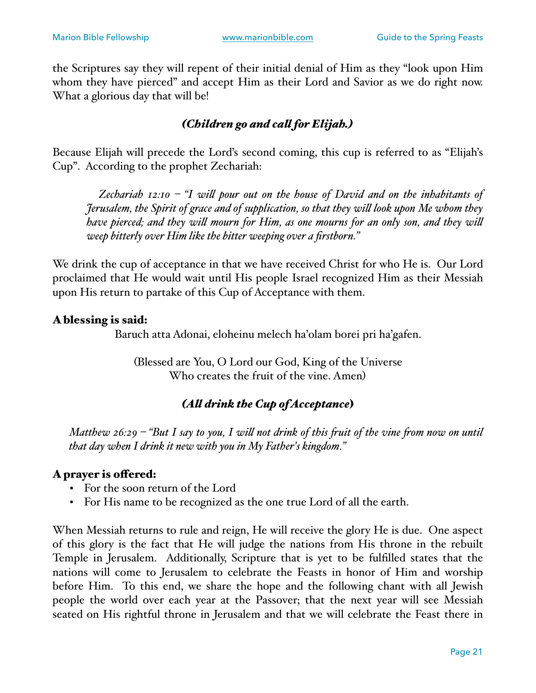the Scriptures say they will repent of their initial denial of Him as they "look upon Him whom they have pierced" and accept Him as their Lord and Savior as we do right now. What a glorious day that will be!

#### *(Children go and cal for Elijah.)*

Because Elijah will precede the Lord's second coming, this cup is referred to as "Elijah's Cup". According to the prophet Zechariah:

 *Zechariah 12:10 – "I wil pour out on the house of David and on the inhabitants of Jerusalem, the Spirit of grace and of supplication, so that they wil look upon Me whom they have pierced; and they wil mourn for Him, as one mourns for an only son, and they wil weep bitterly over Him like the bitter weeping over a firstborn."*

We drink the cup of acceptance in that we have received Christ for who He is. Our Lord proclaimed that He would wait until His people Israel recognized Him as their Messiah upon His return to partake of this Cup of Acceptance with them.

#### A blessing is said:

Baruch atta Adonai, eloheinu melech ha'olam borei pri ha'gafen.

(Blessed are You, O Lord our God, King of the Universe Who creates the fruit of the vine. Amen)

#### *(Al drink the Cup of Acceptance*)

*Matthew 26:29 – "But I say to you, I wil not drink of this fuit of the vine fom now on until that day when I drink it new with you in My Father's kingdom."*

#### A prayer is ofered:

- For the soon return of the Lord
- For His name to be recognized as the one true Lord of all the earth.

When Messiah returns to rule and reign, He will receive the glory He is due. One aspect of this glory is the fact that He will judge the nations from His throne in the rebuilt Temple in Jerusalem. Additionally, Scripture that is yet to be fulfilled states that the nations will come to Jerusalem to celebrate the Feasts in honor of Him and worship before Him. To this end, we share the hope and the following chant with all Jewish people the world over each year at the Passover; that the next year will see Messiah seated on His rightful throne in Jerusalem and that we will celebrate the Feast there in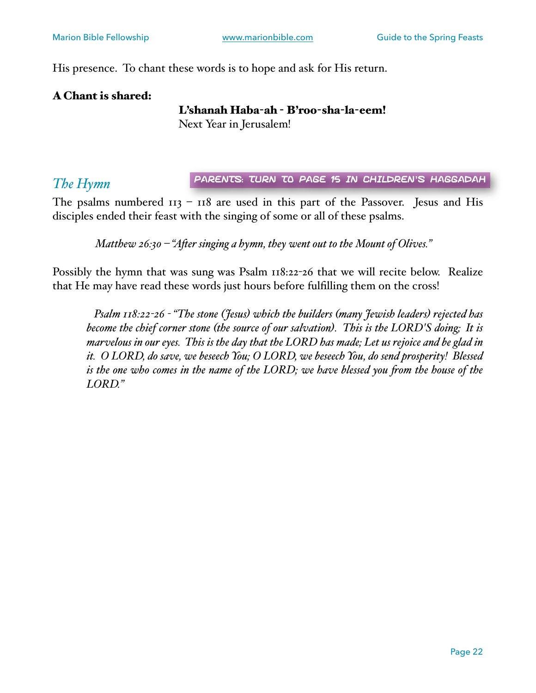His presence. To chant these words is to hope and ask for His return.

#### A Chant is shared:

#### L'shanah Haba-ah - B'roo-sha-la-eem!

Next Year in Jerusalem!

#### *The Hymn*

Parents: Turn to page 15 in Children's Haggadah

The psalms numbered  $113 - 118$  are used in this part of the Passover. Jesus and His disciples ended their feast with the singing of some or all of these psalms.

*Matthew 26:30 – "Afer singing a hymn, they went out to the Mount of Olives."*

Possibly the hymn that was sung was Psalm 118:22-26 that we will recite below. Realize that He may have read these words just hours before fulfilling them on the cross!

 *Psalm 118:22-26 - "The stone (Jesus) which the builders (many Jewish leaders) rejected has become the chief corner stone (the source of our salvation). This is the LORD'S doing; It is marvelous in our eyes. This is the day that the LORD has made; Let us rejoice and be glad in it. O LORD, do save, we beseech You; O LORD, we beseech You, do send prosperity! Blessed is the one who comes in the name of the LORD; we have blessed you from the house of the LORD."*